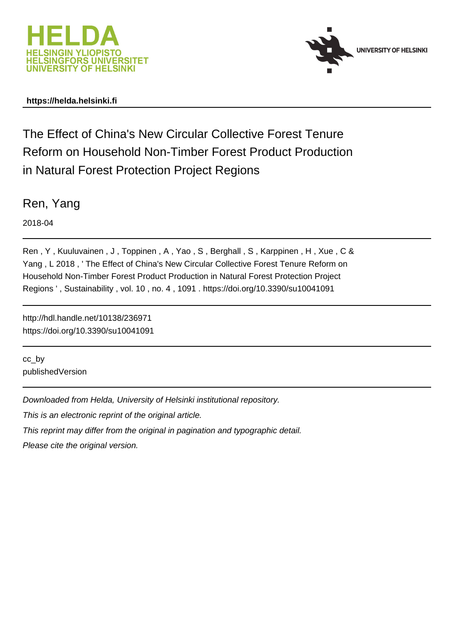



# **https://helda.helsinki.fi**

The Effect of China's New Circular Collective Forest Tenure Reform on Household Non-Timber Forest Product Production in Natural Forest Protection Project Regions

Ren, Yang

2018-04

Ren, Y, Kuuluvainen, J, Toppinen, A, Yao, S, Berghall, S, Karppinen, H, Xue, C & Yang , L 2018 , ' The Effect of China's New Circular Collective Forest Tenure Reform on Household Non-Timber Forest Product Production in Natural Forest Protection Project Regions ' , Sustainability , vol. 10 , no. 4 , 1091 . https://doi.org/10.3390/su10041091

http://hdl.handle.net/10138/236971 https://doi.org/10.3390/su10041091

cc\_by publishedVersion

Downloaded from Helda, University of Helsinki institutional repository.

This is an electronic reprint of the original article.

This reprint may differ from the original in pagination and typographic detail.

Please cite the original version.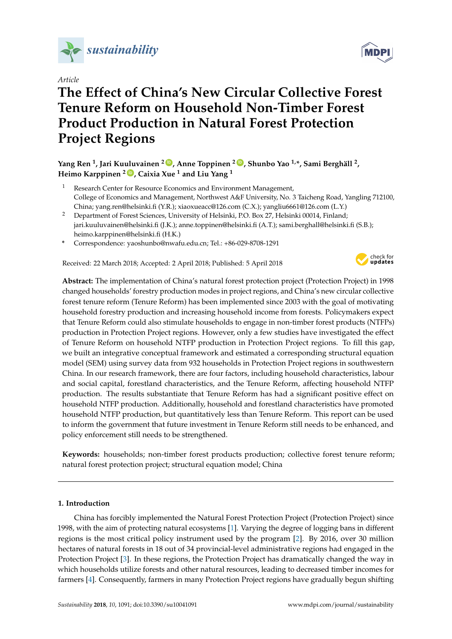

*Article*

# **The Effect of China's New Circular Collective Forest Tenure Reform on Household Non-Timber Forest Product Production in Natural Forest Protection Project Regions**

**Yang Ren <sup>1</sup> , Jari Kuuluvainen <sup>2</sup> [ID](https://orcid.org/0000-0002-8890-0390) , Anne Toppinen <sup>2</sup> [ID](https://orcid.org/0000-0003-0910-1505) , Shunbo Yao 1,\*, Sami Berghäll <sup>2</sup> , Heimo Karppinen <sup>2</sup> [ID](https://orcid.org/0000-0001-8631-1843) , Caixia Xue <sup>1</sup> and Liu Yang <sup>1</sup>**

- Research Center for Resource Economics and Environment Management, College of Economics and Management, Northwest A&F University, No. 3 Taicheng Road, Yangling 712100, China; yang.ren@helsinki.fi (Y.R.); xiaoxueacc@126.com (C.X.); yangliu6661@126.com (L.Y.)
- <sup>2</sup> Department of Forest Sciences, University of Helsinki, P.O. Box 27, Helsinki 00014, Finland; jari.kuuluvainen@helsinki.fi (J.K.); anne.toppinen@helsinki.fi (A.T.); sami.berghall@helsinki.fi (S.B.); heimo.karppinen@helsinki.fi (H.K.)
- **\*** Correspondence: yaoshunbo@nwafu.edu.cn; Tel.: +86-029-8708-1291

Received: 22 March 2018; Accepted: 2 April 2018; Published: 5 April 2018



**Abstract:** The implementation of China's natural forest protection project (Protection Project) in 1998 changed households' forestry production modes in project regions, and China's new circular collective forest tenure reform (Tenure Reform) has been implemented since 2003 with the goal of motivating household forestry production and increasing household income from forests. Policymakers expect that Tenure Reform could also stimulate households to engage in non-timber forest products (NTFPs) production in Protection Project regions. However, only a few studies have investigated the effect of Tenure Reform on household NTFP production in Protection Project regions. To fill this gap, we built an integrative conceptual framework and estimated a corresponding structural equation model (SEM) using survey data from 932 households in Protection Project regions in southwestern China. In our research framework, there are four factors, including household characteristics, labour and social capital, forestland characteristics, and the Tenure Reform, affecting household NTFP production. The results substantiate that Tenure Reform has had a significant positive effect on household NTFP production. Additionally, household and forestland characteristics have promoted household NTFP production, but quantitatively less than Tenure Reform. This report can be used to inform the government that future investment in Tenure Reform still needs to be enhanced, and policy enforcement still needs to be strengthened.

**Keywords:** households; non-timber forest products production; collective forest tenure reform; natural forest protection project; structural equation model; China

# **1. Introduction**

China has forcibly implemented the Natural Forest Protection Project (Protection Project) since 1998, with the aim of protecting natural ecosystems [1]. Varying the degree of logging bans in different regions is the most critical policy instrument used by the program [2]. By 2016, over 30 million hectares of natural forests in 18 out of 34 provincial-level administrative regions had engaged in the Protection Project [3]. In these regions, the Protection Project has dramatically changed the way in which households utilize forests and other natural resources, leading to decreased timber incomes for farmers [4]. Consequently, farmers in many Protection Project regions have gradually begun shifting

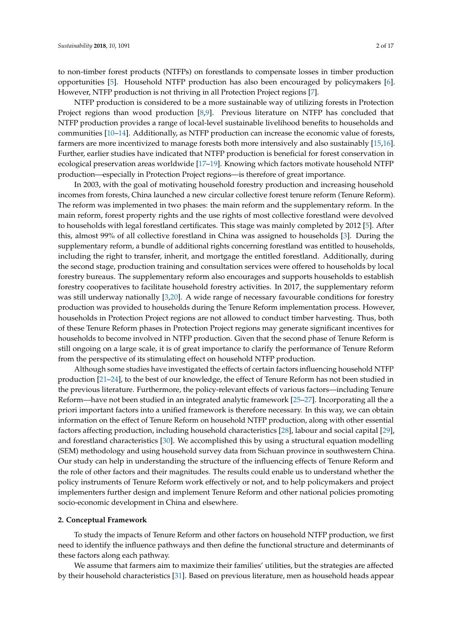to non-timber forest products (NTFPs) on forestlands to compensate losses in timber production opportunities [5]. Household NTFP production has also been encouraged by policymakers [6]. However, NTFP production is not thriving in all Protection Project regions [7].

NTFP production is considered to be a more sustainable way of utilizing forests in Protection Project regions than wood production [8,9]. Previous literature on NTFP has concluded that NTFP production provides a range of local-level sustainable livelihood benefits to households and communities [10–14]. Additionally, as NTFP production can increase the economic value of forests, farmers are more incentivized to manage forests both more intensively and also sustainably [15,16]. Further, earlier studies have indicated that NTFP production is beneficial for forest conservation in ecological preservation areas worldwide [17–19]. Knowing which factors motivate household NTFP production—especially in Protection Project regions—is therefore of great importance.

In 2003, with the goal of motivating household forestry production and increasing household incomes from forests, China launched a new circular collective forest tenure reform (Tenure Reform). The reform was implemented in two phases: the main reform and the supplementary reform. In the main reform, forest property rights and the use rights of most collective forestland were devolved to households with legal forestland certificates. This stage was mainly completed by 2012 [5]. After this, almost 99% of all collective forestland in China was assigned to households [3]. During the supplementary reform, a bundle of additional rights concerning forestland was entitled to households, including the right to transfer, inherit, and mortgage the entitled forestland. Additionally, during the second stage, production training and consultation services were offered to households by local forestry bureaus. The supplementary reform also encourages and supports households to establish forestry cooperatives to facilitate household forestry activities. In 2017, the supplementary reform was still underway nationally [3,20]. A wide range of necessary favourable conditions for forestry production was provided to households during the Tenure Reform implementation process. However, households in Protection Project regions are not allowed to conduct timber harvesting. Thus, both of these Tenure Reform phases in Protection Project regions may generate significant incentives for households to become involved in NTFP production. Given that the second phase of Tenure Reform is still ongoing on a large scale, it is of great importance to clarify the performance of Tenure Reform from the perspective of its stimulating effect on household NTFP production.

Although some studies have investigated the effects of certain factors influencing household NTFP production [21–24], to the best of our knowledge, the effect of Tenure Reform has not been studied in the previous literature. Furthermore, the policy-relevant effects of various factors—including Tenure Reform—have not been studied in an integrated analytic framework [25–27]. Incorporating all the a priori important factors into a unified framework is therefore necessary. In this way, we can obtain information on the effect of Tenure Reform on household NTFP production, along with other essential factors affecting production, including household characteristics [28], labour and social capital [29], and forestland characteristics [30]. We accomplished this by using a structural equation modelling (SEM) methodology and using household survey data from Sichuan province in southwestern China. Our study can help in understanding the structure of the influencing effects of Tenure Reform and the role of other factors and their magnitudes. The results could enable us to understand whether the policy instruments of Tenure Reform work effectively or not, and to help policymakers and project implementers further design and implement Tenure Reform and other national policies promoting socio-economic development in China and elsewhere.

## **2. Conceptual Framework**

To study the impacts of Tenure Reform and other factors on household NTFP production, we first need to identify the influence pathways and then define the functional structure and determinants of these factors along each pathway.

We assume that farmers aim to maximize their families' utilities, but the strategies are affected by their household characteristics [31]. Based on previous literature, men as household heads appear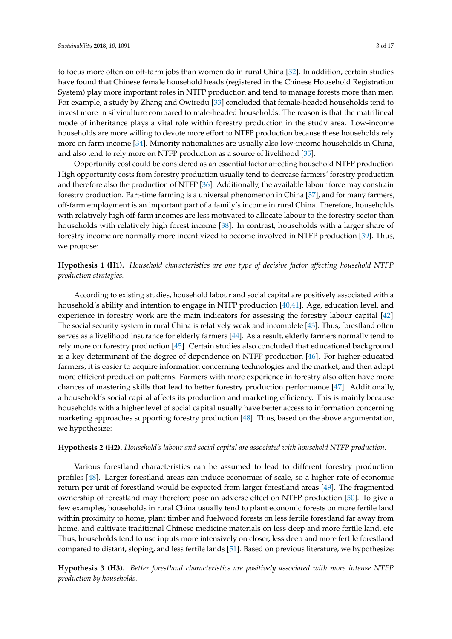to focus more often on off-farm jobs than women do in rural China [32]. In addition, certain studies have found that Chinese female household heads (registered in the Chinese Household Registration System) play more important roles in NTFP production and tend to manage forests more than men. For example, a study by Zhang and Owiredu [33] concluded that female-headed households tend to invest more in silviculture compared to male-headed households. The reason is that the matrilineal mode of inheritance plays a vital role within forestry production in the study area. Low-income households are more willing to devote more effort to NTFP production because these households rely more on farm income [34]. Minority nationalities are usually also low-income households in China, and also tend to rely more on NTFP production as a source of livelihood [35].

Opportunity cost could be considered as an essential factor affecting household NTFP production. High opportunity costs from forestry production usually tend to decrease farmers' forestry production and therefore also the production of NTFP [36]. Additionally, the available labour force may constrain forestry production. Part-time farming is a universal phenomenon in China [37], and for many farmers, off-farm employment is an important part of a family's income in rural China. Therefore, households with relatively high off-farm incomes are less motivated to allocate labour to the forestry sector than households with relatively high forest income [38]. In contrast, households with a larger share of forestry income are normally more incentivized to become involved in NTFP production [39]. Thus, we propose:

**Hypothesis 1 (H1).** *Household characteristics are one type of decisive factor affecting household NTFP production strategies.*

According to existing studies, household labour and social capital are positively associated with a household's ability and intention to engage in NTFP production [40,41]. Age, education level, and experience in forestry work are the main indicators for assessing the forestry labour capital [42]. The social security system in rural China is relatively weak and incomplete [43]. Thus, forestland often serves as a livelihood insurance for elderly farmers [44]. As a result, elderly farmers normally tend to rely more on forestry production [45]. Certain studies also concluded that educational background is a key determinant of the degree of dependence on NTFP production [46]. For higher-educated farmers, it is easier to acquire information concerning technologies and the market, and then adopt more efficient production patterns. Farmers with more experience in forestry also often have more chances of mastering skills that lead to better forestry production performance [47]. Additionally, a household's social capital affects its production and marketing efficiency. This is mainly because households with a higher level of social capital usually have better access to information concerning marketing approaches supporting forestry production [48]. Thus, based on the above argumentation, we hypothesize:

#### **Hypothesis 2 (H2).** *Household's labour and social capital are associated with household NTFP production.*

Various forestland characteristics can be assumed to lead to different forestry production profiles [48]. Larger forestland areas can induce economies of scale, so a higher rate of economic return per unit of forestland would be expected from larger forestland areas [49]. The fragmented ownership of forestland may therefore pose an adverse effect on NTFP production [50]. To give a few examples, households in rural China usually tend to plant economic forests on more fertile land within proximity to home, plant timber and fuelwood forests on less fertile forestland far away from home, and cultivate traditional Chinese medicine materials on less deep and more fertile land, etc. Thus, households tend to use inputs more intensively on closer, less deep and more fertile forestland compared to distant, sloping, and less fertile lands [51]. Based on previous literature, we hypothesize:

**Hypothesis 3 (H3).** *Better forestland characteristics are positively associated with more intense NTFP production by households.*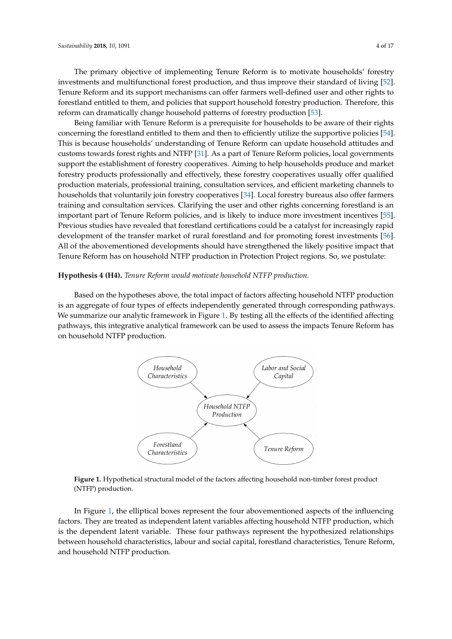The primary objective of implementing Tenure Reform is to motivate households' forestry investments and multifunctional forest production, and thus improve their standard of living [52]. Tenure Reform and its support mechanisms can offer farmers well-defined user and other rights to forestland entitled to them, and policies that support household forestry production. Therefore, this reform can dramatically change household patterns of forestry production [53].

Being familiar with Tenure Reform is a prerequisite for households to be aware of their rights concerning the forestland entitled to them and then to efficiently utilize the supportive policies [54]. This is because households' understanding of Tenure Reform can update household attitudes and customs towards forest rights and NTFP [31]. As a part of Tenure Reform policies, local governments support the establishment of forestry cooperatives. Aiming to help households produce and market forestry products professionally and effectively, these forestry cooperatives usually offer qualified production materials, professional training, consultation services, and efficient marketing channels to households that voluntarily join forestry cooperatives [34]. Local forestry bureaus also offer farmers training and consultation services. Clarifying the user and other rights concerning forestland is an important part of Tenure Reform policies, and is likely to induce more investment incentives [55]. Previous studies have revealed that forestland certifications could be a catalyst for increasingly rapid development of the transfer market of rural forestland and for promoting forest investments [56]. All of the abovementioned developments should have strengthened the likely positive impact that Tenure Reform has on household NTFP production in Protection Project regions. So, we postulate:

#### **Hypothesis 4 (H4).** *Tenure Reform would motivate household NTFP production.*

Based on the hypotheses above, the total impact of factors affecting household NTFP production is an aggregate of four types of effects independently generated through corresponding pathways. We summarize our analytic framework in Figure 1. By testing all the effects of the identified affecting pathways, this integrative analytical framework can be used to assess the impacts Tenure Reform has on household NTFP production.



**Figure 1.** Hypothetical structural model of the factors affecting household non-timber forest product (NTFP) production.

In Figure 1, the elliptical boxes represent the four abovementioned aspects of the influencing factors. They are treated as independent latent variables affecting household NTFP production, which is the dependent latent variable. These four pathways represent the hypothesized relationships between household characteristics, labour and social capital, forestland characteristics, Tenure Reform, and household NTFP production.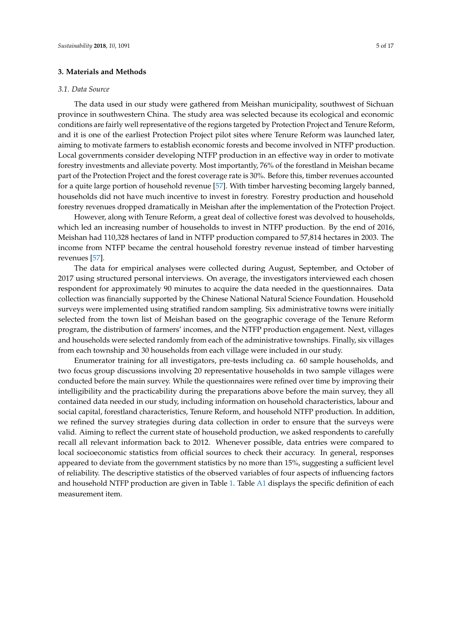#### **3. Materials and Methods**

#### *3.1. Data Source*

The data used in our study were gathered from Meishan municipality, southwest of Sichuan province in southwestern China. The study area was selected because its ecological and economic conditions are fairly well representative of the regions targeted by Protection Project and Tenure Reform, and it is one of the earliest Protection Project pilot sites where Tenure Reform was launched later, aiming to motivate farmers to establish economic forests and become involved in NTFP production. Local governments consider developing NTFP production in an effective way in order to motivate forestry investments and alleviate poverty. Most importantly, 76% of the forestland in Meishan became part of the Protection Project and the forest coverage rate is 30%. Before this, timber revenues accounted for a quite large portion of household revenue [57]. With timber harvesting becoming largely banned, households did not have much incentive to invest in forestry. Forestry production and household forestry revenues dropped dramatically in Meishan after the implementation of the Protection Project.

However, along with Tenure Reform, a great deal of collective forest was devolved to households, which led an increasing number of households to invest in NTFP production. By the end of 2016, Meishan had 110,328 hectares of land in NTFP production compared to 57,814 hectares in 2003. The income from NTFP became the central household forestry revenue instead of timber harvesting revenues [57].

The data for empirical analyses were collected during August, September, and October of 2017 using structured personal interviews. On average, the investigators interviewed each chosen respondent for approximately 90 minutes to acquire the data needed in the questionnaires. Data collection was financially supported by the Chinese National Natural Science Foundation. Household surveys were implemented using stratified random sampling. Six administrative towns were initially selected from the town list of Meishan based on the geographic coverage of the Tenure Reform program, the distribution of farmers' incomes, and the NTFP production engagement. Next, villages and households were selected randomly from each of the administrative townships. Finally, six villages from each township and 30 households from each village were included in our study.

Enumerator training for all investigators, pre-tests including ca. 60 sample households, and two focus group discussions involving 20 representative households in two sample villages were conducted before the main survey. While the questionnaires were refined over time by improving their intelligibility and the practicability during the preparations above before the main survey, they all contained data needed in our study, including information on household characteristics, labour and social capital, forestland characteristics, Tenure Reform, and household NTFP production. In addition, we refined the survey strategies during data collection in order to ensure that the surveys were valid. Aiming to reflect the current state of household production, we asked respondents to carefully recall all relevant information back to 2012. Whenever possible, data entries were compared to local socioeconomic statistics from official sources to check their accuracy. In general, responses appeared to deviate from the government statistics by no more than 15%, suggesting a sufficient level of reliability. The descriptive statistics of the observed variables of four aspects of influencing factors and household NTFP production are given in Table 1. Table A1 displays the specific definition of each measurement item.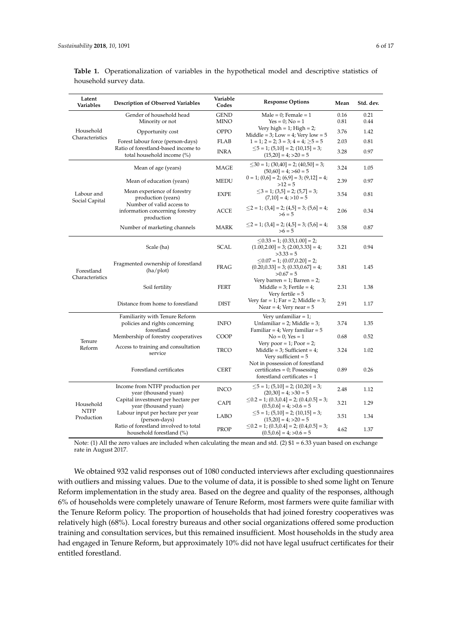| Latent<br>Variables           | <b>Description of Observed Variables</b>                                       | Variable<br>Codes          | <b>Response Options</b>                                                                              | Mean         | Std. dev.    |
|-------------------------------|--------------------------------------------------------------------------------|----------------------------|------------------------------------------------------------------------------------------------------|--------------|--------------|
|                               | Gender of household head<br>Minority or not                                    | <b>GEND</b><br><b>MINO</b> | Male = $0$ ; Female = 1<br>$Yes = 0; No = 1$                                                         | 0.16<br>0.81 | 0.21<br>0.44 |
| Household                     | Opportunity cost                                                               | OPPO                       | Very high $= 1$ ; High $= 2$ ;<br>Middle = $3$ ; Low = $4$ ; Very low = $5$                          | 3.76         | 1.42         |
| Characteristics               | Forest labour force (person-days)                                              | <b>FLAB</b>                | $1 = 1$ ; $2 = 2$ ; $3 = 3$ ; $4 = 4$ ; $\geq 5 = 5$                                                 | 2.03         | 0.81         |
|                               | Ratio of forestland-based income to<br>total household income (%)              | <b>INRA</b>                | $\leq$ 5 = 1; (5,10] = 2; (10,15] = 3;<br>$(15,20) = 4$ ; >20 = 5                                    | 3.28         | 0.97         |
| Labour and<br>Social Capital  | Mean of age (years)                                                            | MAGE                       | $\leq$ 30 = 1; (30,40] = 2; (40,50] = 3;<br>$(50,60) = 4$ ; >60 = 5                                  | 3.24         | 1.05         |
|                               | Mean of education (years)                                                      | <b>MEDU</b>                | $0 = 1$ ; $(0,6] = 2$ ; $(6,9] = 3$ ; $(9,12] = 4$ ;<br>$>12 = 5$                                    | 2.39         | 0.97         |
|                               | Mean experience of forestry<br>production (years)                              | <b>EXPE</b>                | $\leq$ 3 = 1; (3,5] = 2; (5,7] = 3;<br>$(7,10) = 4$ ; $>10 = 5$                                      | 3.54         | 0.81         |
|                               | Number of valid access to<br>information concerning forestry<br>production     | ACCE                       | $\leq$ 2 = 1; (3,4] = 2; (4,5] = 3; (5,6] = 4;<br>$>6 = 5$                                           | 2.06         | 0.34         |
|                               | Number of marketing channels                                                   | MARK                       | $\leq$ 2 = 1; (3,4] = 2; (4,5] = 3; (5,6] = 4;<br>$>6 = 5$                                           | 3.58         | 0.87         |
| Forestland<br>Characteristics | Scale (ha)                                                                     | <b>SCAL</b>                | $\leq$ 0.33 = 1; (0.33,1.00] = 2;<br>$(1.00, 2.00] = 3$ ; $(2.00, 3.33] = 4$ ;<br>$>3.33=5$          | 3.21         | 0.94         |
|                               | Fragmented ownership of forestland<br>(ha/plot)                                | <b>FRAG</b>                | $\leq$ 0.07 = 1; (0.07,0.20] = 2;<br>$(0.20, 0.33] = 3$ ; $(0.33, 0.67] = 4$ ;<br>$>0.67 = 5$        | 3.81         | 1.45         |
|                               | Soil fertility                                                                 | <b>FERT</b>                | Very barren = $1$ ; Barren = $2$ ;<br>Middle = $3$ ; Fertile = $4$ ;<br>Very fertile $= 5$           | 2.31         | 1.38         |
|                               | Distance from home to forestland                                               | <b>DIST</b>                | Very far = 1; Far = 2; Middle = 3;<br>Near = $4$ ; Very near = $5$                                   | 2.91         | 1.17         |
|                               | Familiarity with Tenure Reform<br>policies and rights concerning<br>forestland | <b>INFO</b>                | Very unfamiliar $= 1$ ;<br>Unfamiliar = $2$ ; Middle = $3$ ;<br>Familiar = $4$ ; Very familiar = $5$ | 3.74         | 1.35         |
| Tenure                        | Membership of forestry cooperatives                                            | COOP                       | $No = 0$ ; $Yes = 1$                                                                                 | 0.68         | 0.52         |
| Reform                        | Access to training and consultation<br>service                                 | <b>TRCO</b>                | Very poor = 1; Poor = 2;<br>Middle = $3$ ; Sufficient = $4$ ;<br>Very sufficient $= 5$               | 3.24         | 1.02         |
|                               | Forestland certificates                                                        | <b>CERT</b>                | Not in possession of forestland<br>$c$ ertificates = 0; Possessing<br>forestland certificates $= 1$  | 0.89         | 0.26         |
|                               | Income from NTFP production per<br>year (thousand yuan)                        | <b>INCO</b>                | $\leq$ 5 = 1; (5,10] = 2; (10,20] = 3;<br>$(20,30) = 4$ ; > 30 = 5                                   | 2.48         | 1.12         |
| Household                     | Capital investment per hectare per<br>year (thousand yuan)                     | CAPI                       | $\leq$ 0.2 = 1; (0.3,0.4] = 2; (0.4,0.5] = 3;<br>$(0.5, 0.6] = 4$ ; > 0.6 = 5                        | 3.21         | 1.29         |
| <b>NTFP</b><br>Production     | Labour input per hectare per year<br>(person-days)                             | LABO                       | $\leq$ 5 = 1; (5,10] = 2; (10,15] = 3;<br>$(15,20) = 4$ ; $>20 = 5$                                  | 3.51         | 1.34         |
|                               | Ratio of forestland involved to total<br>household forestland (%)              | <b>PROP</b>                | $\leq$ 0.2 = 1; (0.3,0.4] = 2; (0.4,0.5] = 3;<br>$(0.5, 0.6] = 4$ ; > 0.6 = 5                        | 4.62         | 1.37         |

**Table 1.** Operationalization of variables in the hypothetical model and descriptive statistics of household survey data.

Note: (1) All the zero values are included when calculating the mean and std. (2) \$1 = 6.33 yuan based on exchange rate in August 2017.

We obtained 932 valid responses out of 1080 conducted interviews after excluding questionnaires with outliers and missing values. Due to the volume of data, it is possible to shed some light on Tenure Reform implementation in the study area. Based on the degree and quality of the responses, although 6% of households were completely unaware of Tenure Reform, most farmers were quite familiar with the Tenure Reform policy. The proportion of households that had joined forestry cooperatives was relatively high (68%). Local forestry bureaus and other social organizations offered some production training and consultation services, but this remained insufficient. Most households in the study area had engaged in Tenure Reform, but approximately 10% did not have legal usufruct certificates for their entitled forestland.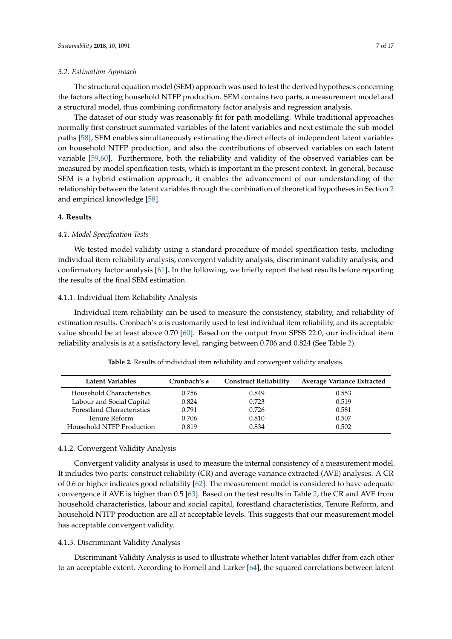#### *3.2. Estimation Approach*

The structural equation model (SEM) approach was used to test the derived hypotheses concerning the factors affecting household NTFP production. SEM contains two parts, a measurement model and a structural model, thus combining confirmatory factor analysis and regression analysis.

The dataset of our study was reasonably fit for path modelling. While traditional approaches normally first construct summated variables of the latent variables and next estimate the sub-model paths [58], SEM enables simultaneously estimating the direct effects of independent latent variables on household NTFP production, and also the contributions of observed variables on each latent variable [59,60]. Furthermore, both the reliability and validity of the observed variables can be measured by model specification tests, which is important in the present context. In general, because SEM is a hybrid estimation approach, it enables the advancement of our understanding of the relationship between the latent variables through the combination of theoretical hypotheses in Section 2 and empirical knowledge [58].

#### **4. Results**

#### *4.1. Model Specification Tests*

We tested model validity using a standard procedure of model specification tests, including individual item reliability analysis, convergent validity analysis, discriminant validity analysis, and confirmatory factor analysis [61]. In the following, we briefly report the test results before reporting the results of the final SEM estimation.

#### 4.1.1. Individual Item Reliability Analysis

Individual item reliability can be used to measure the consistency, stability, and reliability of estimation results. Cronbach's  $\alpha$  is customarily used to test individual item reliability, and its acceptable value should be at least above 0.70 [60]. Based on the output from SPSS 22.0, our individual item reliability analysis is at a satisfactory level, ranging between 0.706 and 0.824 (See Table 2).

| Latent Variables                  | Cronbach's $\alpha$ | <b>Construct Reliability</b> | <b>Average Variance Extracted</b> |
|-----------------------------------|---------------------|------------------------------|-----------------------------------|
| Household Characteristics         | 0.756               | 0.849                        | 0.553                             |
| Labour and Social Capital         | 0.824               | 0.723                        | 0.519                             |
| <b>Forestland Characteristics</b> | 0.791               | 0.726                        | 0.581                             |
| Tenure Reform                     | 0.706               | 0.810                        | 0.507                             |
| Household NTFP Production         | 0.819               | 0.834                        | 0.502                             |

**Table 2.** Results of individual item reliability and convergent validity analysis.

#### 4.1.2. Convergent Validity Analysis

Convergent validity analysis is used to measure the internal consistency of a measurement model. It includes two parts: construct reliability (CR) and average variance extracted (AVE) analyses. A CR of 0.6 or higher indicates good reliability [62]. The measurement model is considered to have adequate convergence if AVE is higher than 0.5 [63]. Based on the test results in Table 2, the CR and AVE from household characteristics, labour and social capital, forestland characteristics, Tenure Reform, and household NTFP production are all at acceptable levels. This suggests that our measurement model has acceptable convergent validity.

#### 4.1.3. Discriminant Validity Analysis

Discriminant Validity Analysis is used to illustrate whether latent variables differ from each other to an acceptable extent. According to Fornell and Larker [64], the squared correlations between latent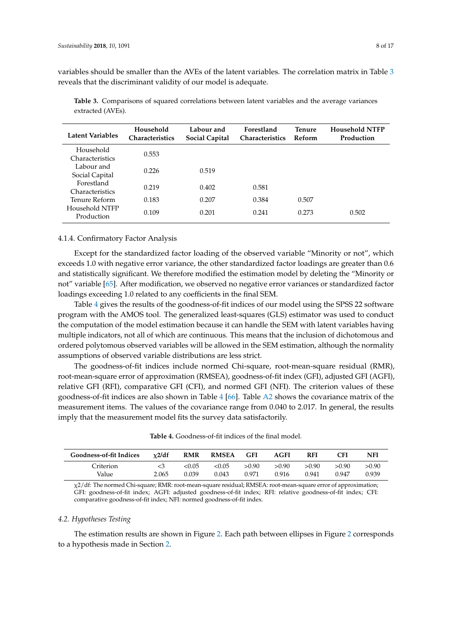variables should be smaller than the AVEs of the latent variables. The correlation matrix in Table 3 reveals that the discriminant validity of our model is adequate.

| Latent Variables                    | Household<br><b>Characteristics</b> | Labour and<br><b>Social Capital</b> | <b>Forestland</b><br><b>Characteristics</b> | Tenure<br>Reform | <b>Household NTFP</b><br>Production |
|-------------------------------------|-------------------------------------|-------------------------------------|---------------------------------------------|------------------|-------------------------------------|
| Household<br><i>Characteristics</i> | 0.553                               |                                     |                                             |                  |                                     |
| Labour and<br>Social Capital        | 0.226                               | 0.519                               |                                             |                  |                                     |
| Forestland<br>Characteristics       | 0.219                               | 0.402                               | 0.581                                       |                  |                                     |
| Tenure Reform                       | 0.183                               | 0.207                               | 0.384                                       | 0.507            |                                     |
| Household NTFP<br>Production        | 0.109                               | 0.201                               | 0.241                                       | 0.273            | 0.502                               |

**Table 3.** Comparisons of squared correlations between latent variables and the average variances extracted (AVEs).

#### 4.1.4. Confirmatory Factor Analysis

Except for the standardized factor loading of the observed variable "Minority or not", which exceeds 1.0 with negative error variance, the other standardized factor loadings are greater than 0.6 and statistically significant. We therefore modified the estimation model by deleting the "Minority or not" variable [65]. After modification, we observed no negative error variances or standardized factor loadings exceeding 1.0 related to any coefficients in the final SEM.

Table 4 gives the results of the goodness-of-fit indices of our model using the SPSS 22 software program with the AMOS tool. The generalized least-squares (GLS) estimator was used to conduct the computation of the model estimation because it can handle the SEM with latent variables having multiple indicators, not all of which are continuous. This means that the inclusion of dichotomous and ordered polytomous observed variables will be allowed in the SEM estimation, although the normality assumptions of observed variable distributions are less strict.

The goodness-of-fit indices include normed Chi-square, root-mean-square residual (RMR), root-mean-square error of approximation (RMSEA), goodness-of-fit index (GFI), adjusted GFI (AGFI), relative GFI (RFI), comparative GFI (CFI), and normed GFI (NFI). The criterion values of these goodness-of-fit indices are also shown in Table 4 [66]. Table A2 shows the covariance matrix of the measurement items. The values of the covariance range from 0.040 to 2.017. In general, the results imply that the measurement model fits the survey data satisfactorily.

| <b>Table 4.</b> Goodness-of-fit indices of the final model. |
|-------------------------------------------------------------|
|                                                             |

| <b>Goodness-of-fit Indices</b> | x2/df | <b>RMR</b> | <b>RMSEA</b> | <b>GFI</b> | <b>AGFI</b> | <b>RFI</b> | CFI    | NFI   |
|--------------------------------|-------|------------|--------------|------------|-------------|------------|--------|-------|
| Criterion                      | <3    | < 0.05     | <0.05        | >0.90      | > 0.90      | > 0.90     | > 0.90 | >0.90 |
| Value                          | 2.065 | 0.039      | 0.043        | 0.971      | 0.916       | 0.941      | 0.947  | 0.939 |

χ2/df: The normed Chi-square; RMR: root-mean-square residual; RMSEA: root-mean-square error of approximation; GFI: goodness-of-fit index; AGFI: adjusted goodness-of-fit index; RFI: relative goodness-of-fit index; CFI: comparative goodness-of-fit index; NFI: normed goodness-of-fit index.

#### *4.2. Hypotheses Testing*

The estimation results are shown in Figure 2. Each path between ellipses in Figure 2 corresponds to a hypothesis made in Section 2.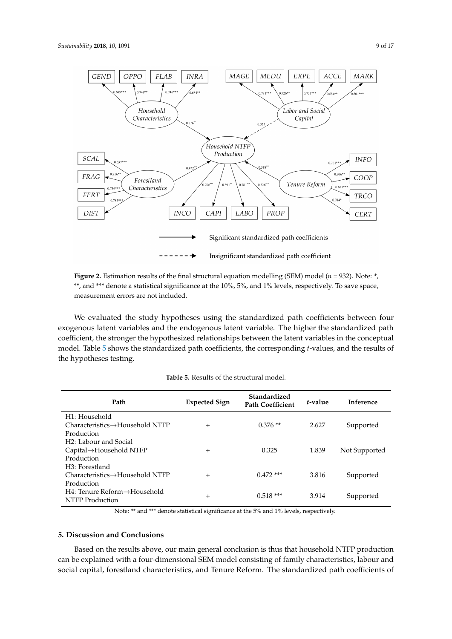

**Figure 2.** Estimation results of the final structural equation modelling (SEM) model ( $n = 932$ ). Note:  $*$ , \*\*, and \*\*\* denote a statistical significance at the 10%, 5%, and 1% levels, respectively. To save space, measurement errors are not included.

We evaluated the study hypotheses using the standardized path coefficients between four exogenous latent variables and the endogenous latent variable. The higher the standardized path coefficient, the stronger the hypothesized relationships between the latent variables in the conceptual model. Table 5 shows the standardized path coefficients, the corresponding *t*-values, and the results of the hypotheses testing.

| Path                                         | <b>Expected Sign</b> | Standardized<br><b>Path Coefficient</b> | t-value | <b>Inference</b> |
|----------------------------------------------|----------------------|-----------------------------------------|---------|------------------|
| H <sub>1</sub> : Household                   |                      |                                         |         |                  |
| $Characteristics \rightarrow Household NTFP$ | $^{+}$               | $0.376**$                               | 2.627   | Supported        |
| Production                                   |                      |                                         |         |                  |
| H <sub>2</sub> : Labour and Social           |                      |                                         |         |                  |
| $Capital \rightarrow Household NTFP$         | $^{+}$               | 0.325                                   | 1.839   | Not Supported    |
| Production                                   |                      |                                         |         |                  |
| H <sub>3</sub> : Forestland                  |                      |                                         |         |                  |
| $Characteristics \rightarrow Household NTFP$ | $+$                  | $0.472$ ***                             | 3.816   | Supported        |
| Production                                   |                      |                                         |         |                  |
| $H4:$ Tenure Reform $\rightarrow$ Household  | $^{+}$               | $0.518***$                              | 3.914   | Supported        |
| NTFP Production                              |                      |                                         |         |                  |

| <b>Table 5.</b> Results of the structural model. |
|--------------------------------------------------|
|--------------------------------------------------|

Note: \*\* and \*\*\* denote statistical significance at the 5% and 1% levels, respectively.

# **5. Discussion and Conclusions**

Based on the results above, our main general conclusion is thus that household NTFP production can be explained with a four-dimensional SEM model consisting of family characteristics, labour and social capital, forestland characteristics, and Tenure Reform. The standardized path coefficients of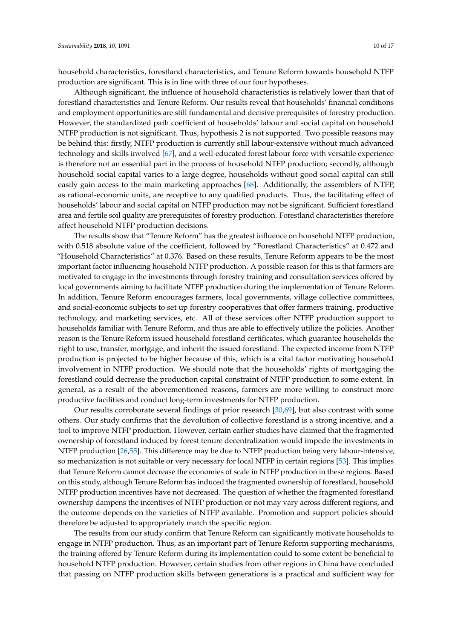household characteristics, forestland characteristics, and Tenure Reform towards household NTFP production are significant. This is in line with three of our four hypotheses.

Although significant, the influence of household characteristics is relatively lower than that of forestland characteristics and Tenure Reform. Our results reveal that households' financial conditions and employment opportunities are still fundamental and decisive prerequisites of forestry production. However, the standardized path coefficient of households' labour and social capital on household NTFP production is not significant. Thus, hypothesis 2 is not supported. Two possible reasons may be behind this: firstly, NTFP production is currently still labour-extensive without much advanced technology and skills involved [67], and a well-educated forest labour force with versatile experience is therefore not an essential part in the process of household NTFP production; secondly, although household social capital varies to a large degree, households without good social capital can still easily gain access to the main marketing approaches [68]. Additionally, the assemblers of NTFP, as rational-economic units, are receptive to any qualified products. Thus, the facilitating effect of households' labour and social capital on NTFP production may not be significant. Sufficient forestland area and fertile soil quality are prerequisites of forestry production. Forestland characteristics therefore affect household NTFP production decisions.

The results show that "Tenure Reform" has the greatest influence on household NTFP production, with 0.518 absolute value of the coefficient, followed by "Forestland Characteristics" at 0.472 and "Household Characteristics" at 0.376. Based on these results, Tenure Reform appears to be the most important factor influencing household NTFP production. A possible reason for this is that farmers are motivated to engage in the investments through forestry training and consultation services offered by local governments aiming to facilitate NTFP production during the implementation of Tenure Reform. In addition, Tenure Reform encourages farmers, local governments, village collective committees, and social-economic subjects to set up forestry cooperatives that offer farmers training, productive technology, and marketing services, etc. All of these services offer NTFP production support to households familiar with Tenure Reform, and thus are able to effectively utilize the policies. Another reason is the Tenure Reform issued household forestland certificates, which guarantee households the right to use, transfer, mortgage, and inherit the issued forestland. The expected income from NTFP production is projected to be higher because of this, which is a vital factor motivating household involvement in NTFP production. We should note that the households' rights of mortgaging the forestland could decrease the production capital constraint of NTFP production to some extent. In general, as a result of the abovementioned reasons, farmers are more willing to construct more productive facilities and conduct long-term investments for NTFP production.

Our results corroborate several findings of prior research [30,69], but also contrast with some others. Our study confirms that the devolution of collective forestland is a strong incentive, and a tool to improve NTFP production. However, certain earlier studies have claimed that the fragmented ownership of forestland induced by forest tenure decentralization would impede the investments in NTFP production [26,55]. This difference may be due to NTFP production being very labour-intensive, so mechanization is not suitable or very necessary for local NTFP in certain regions [53]. This implies that Tenure Reform cannot decrease the economies of scale in NTFP production in these regions. Based on this study, although Tenure Reform has induced the fragmented ownership of forestland, household NTFP production incentives have not decreased. The question of whether the fragmented forestland ownership dampens the incentives of NTFP production or not may vary across different regions, and the outcome depends on the varieties of NTFP available. Promotion and support policies should therefore be adjusted to appropriately match the specific region.

The results from our study confirm that Tenure Reform can significantly motivate households to engage in NTFP production. Thus, as an important part of Tenure Reform supporting mechanisms, the training offered by Tenure Reform during its implementation could to some extent be beneficial to household NTFP production. However, certain studies from other regions in China have concluded that passing on NTFP production skills between generations is a practical and sufficient way for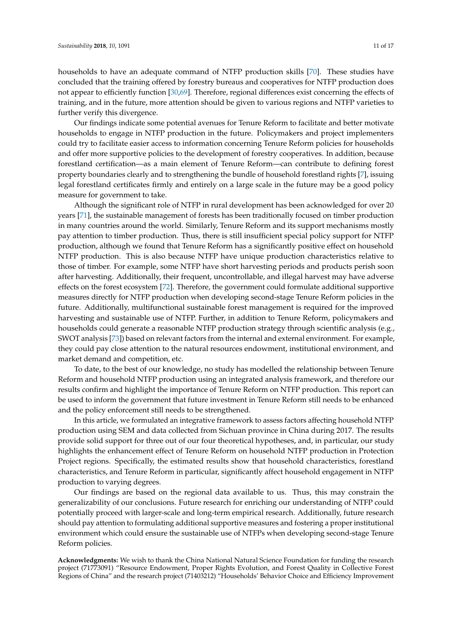households to have an adequate command of NTFP production skills [70]. These studies have concluded that the training offered by forestry bureaus and cooperatives for NTFP production does not appear to efficiently function [30,69]. Therefore, regional differences exist concerning the effects of training, and in the future, more attention should be given to various regions and NTFP varieties to further verify this divergence.

Our findings indicate some potential avenues for Tenure Reform to facilitate and better motivate households to engage in NTFP production in the future. Policymakers and project implementers could try to facilitate easier access to information concerning Tenure Reform policies for households and offer more supportive policies to the development of forestry cooperatives. In addition, because forestland certification—as a main element of Tenure Reform—can contribute to defining forest property boundaries clearly and to strengthening the bundle of household forestland rights [7], issuing legal forestland certificates firmly and entirely on a large scale in the future may be a good policy measure for government to take.

Although the significant role of NTFP in rural development has been acknowledged for over 20 years [71], the sustainable management of forests has been traditionally focused on timber production in many countries around the world. Similarly, Tenure Reform and its support mechanisms mostly pay attention to timber production. Thus, there is still insufficient special policy support for NTFP production, although we found that Tenure Reform has a significantly positive effect on household NTFP production. This is also because NTFP have unique production characteristics relative to those of timber. For example, some NTFP have short harvesting periods and products perish soon after harvesting. Additionally, their frequent, uncontrollable, and illegal harvest may have adverse effects on the forest ecosystem [72]. Therefore, the government could formulate additional supportive measures directly for NTFP production when developing second-stage Tenure Reform policies in the future. Additionally, multifunctional sustainable forest management is required for the improved harvesting and sustainable use of NTFP. Further, in addition to Tenure Reform, policymakers and households could generate a reasonable NTFP production strategy through scientific analysis (e.g., SWOT analysis [73]) based on relevant factors from the internal and external environment. For example, they could pay close attention to the natural resources endowment, institutional environment, and market demand and competition, etc.

To date, to the best of our knowledge, no study has modelled the relationship between Tenure Reform and household NTFP production using an integrated analysis framework, and therefore our results confirm and highlight the importance of Tenure Reform on NTFP production. This report can be used to inform the government that future investment in Tenure Reform still needs to be enhanced and the policy enforcement still needs to be strengthened.

In this article, we formulated an integrative framework to assess factors affecting household NTFP production using SEM and data collected from Sichuan province in China during 2017. The results provide solid support for three out of our four theoretical hypotheses, and, in particular, our study highlights the enhancement effect of Tenure Reform on household NTFP production in Protection Project regions. Specifically, the estimated results show that household characteristics, forestland characteristics, and Tenure Reform in particular, significantly affect household engagement in NTFP production to varying degrees.

Our findings are based on the regional data available to us. Thus, this may constrain the generalizability of our conclusions. Future research for enriching our understanding of NTFP could potentially proceed with larger-scale and long-term empirical research. Additionally, future research should pay attention to formulating additional supportive measures and fostering a proper institutional environment which could ensure the sustainable use of NTFPs when developing second-stage Tenure Reform policies.

**Acknowledgments:** We wish to thank the China National Natural Science Foundation for funding the research project (71773091) "Resource Endowment, Proper Rights Evolution, and Forest Quality in Collective Forest Regions of China" and the research project (71403212) "Households' Behavior Choice and Efficiency Improvement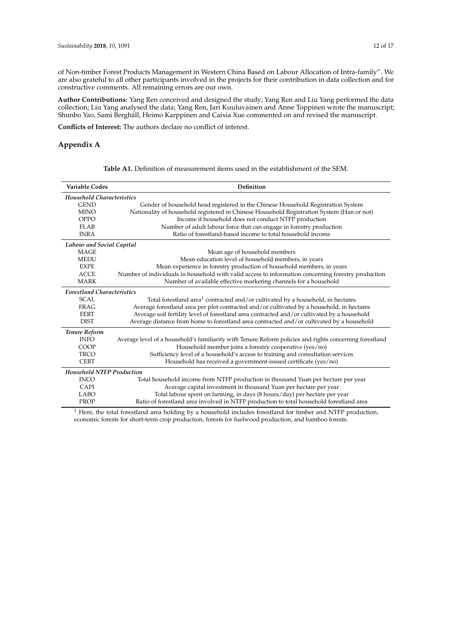of Non-timber Forest Products Management in Western China Based on Labour Allocation of Intra-family". We are also grateful to all other participants involved in the projects for their contribution in data collection and for constructive comments. All remaining errors are our own.

**Author Contributions:** Yang Ren conceived and designed the study; Yang Ren and Liu Yang performed the data collection; Liu Yang analysed the data; Yang Ren, Jari Kuuluvainen and Anne Toppinen wrote the manuscript; Shunbo Yao, Sami Berghäll, Heimo Karppinen and Caixia Xue commented on and revised the manuscript.

**Conflicts of Interest:** The authors declare no conflict of interest.

# **Appendix A**

| <b>Table A1.</b> Definition of measurement items used in the establishment of the SEM. |
|----------------------------------------------------------------------------------------|
|                                                                                        |

| <b>Variable Codes</b>             | Definition                                                                                              |
|-----------------------------------|---------------------------------------------------------------------------------------------------------|
| <b>Household Characteristics</b>  |                                                                                                         |
| <b>GEND</b>                       | Gender of household head registered in the Chinese Household Registration System                        |
| <b>MINO</b>                       | Nationality of household registered in Chinese Household Registration System (Han or not)               |
| <b>OPPO</b>                       | Income if household does not conduct NTFP production                                                    |
| <b>FLAB</b>                       | Number of adult labour force that can engage in forestry production                                     |
| <b>INRA</b>                       | Ratio of forestland-based income to total household income                                              |
| Labour and Social Capital         |                                                                                                         |
| <b>MAGE</b>                       | Mean age of household members                                                                           |
| <b>MEDU</b>                       | Mean education level of household members, in years                                                     |
| <b>EXPE</b>                       | Mean experience in forestry production of household members, in years                                   |
| <b>ACCE</b>                       | Number of individuals in household with valid access to information concerning forestry production      |
| <b>MARK</b>                       | Number of available effective marketing channels for a household                                        |
| <b>Forestland Characteristics</b> |                                                                                                         |
| SCAI.                             | Total forestland area <sup>1</sup> contracted and/or cultivated by a household, in hectares             |
| <b>FRAG</b>                       | Average forestland area per plot contracted and/or cultivated by a household, in hectares               |
| <b>FERT</b>                       | Average soil fertility level of forestland area contracted and/or cultivated by a household             |
| <b>DIST</b>                       | Average distance from home to forestland area contracted and/or cultivated by a household               |
| Tenure Reform                     |                                                                                                         |
| <b>INFO</b>                       | Average level of a household's familiarity with Tenure Reform policies and rights concerning forestland |
| COOP                              | Household member joins a forestry cooperative (yes/no)                                                  |
| <b>TRCO</b>                       | Sufficiency level of a household's access to training and consultation services                         |
| <b>CERT</b>                       | Household has received a government-issued certificate (yes/no)                                         |
| <b>Household NTFP Production</b>  |                                                                                                         |
| <b>INCO</b>                       | Total household income from NTFP production in thousand Yuan per hectare per year                       |
| <b>CAPI</b>                       | Average capital investment in thousand Yuan per hectare per year                                        |
| <b>LABO</b>                       | Total labour spent on farming, in days (8 hours/day) per hectare per year                               |
| PROP                              | Ratio of forestland area involved in NTFP production to total household forestland area                 |

<sup>1</sup> Here, the total forestland area holding by a household includes forestland for timber and NTFP production, economic forests for short-term crop production, forests for fuelwood production, and bamboo forests.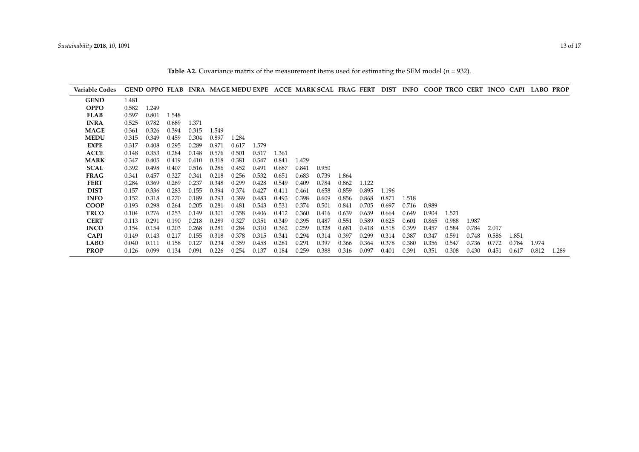**Table A2.** Covariance matrix of the measurement items used for estimating the SEM model  $(n = 932)$ .

| <b>Variable Codes</b> |       |       |       |       |       |       |       |       |       |       |       |       |       |       |       |       |       |       |       | GEND OPPO FLAB INRA MAGE MEDU EXPE ACCE MARK SCAL FRAG FERT DIST INFO COOP TRCO CERT INCO CAPI LABO PROP |       |
|-----------------------|-------|-------|-------|-------|-------|-------|-------|-------|-------|-------|-------|-------|-------|-------|-------|-------|-------|-------|-------|----------------------------------------------------------------------------------------------------------|-------|
| <b>GEND</b>           | 1.481 |       |       |       |       |       |       |       |       |       |       |       |       |       |       |       |       |       |       |                                                                                                          |       |
| <b>OPPO</b>           | 0.582 | 1.249 |       |       |       |       |       |       |       |       |       |       |       |       |       |       |       |       |       |                                                                                                          |       |
| <b>FLAB</b>           | 0.597 | 0.801 | 1.548 |       |       |       |       |       |       |       |       |       |       |       |       |       |       |       |       |                                                                                                          |       |
| <b>INRA</b>           | 0.525 | 0.782 | 0.689 | 1.371 |       |       |       |       |       |       |       |       |       |       |       |       |       |       |       |                                                                                                          |       |
| <b>MAGE</b>           | 0.361 | 0.326 | 0.394 | 0.315 | 1.549 |       |       |       |       |       |       |       |       |       |       |       |       |       |       |                                                                                                          |       |
| <b>MEDU</b>           | 0.315 | 0.349 | 0.459 | 0.304 | 0.897 | 1.284 |       |       |       |       |       |       |       |       |       |       |       |       |       |                                                                                                          |       |
| <b>EXPE</b>           | 0.317 | 0.408 | 0.295 | 0.289 | 0.971 | 0.617 | 1.579 |       |       |       |       |       |       |       |       |       |       |       |       |                                                                                                          |       |
| <b>ACCE</b>           | 0.148 | 0.353 | 0.284 | 0.148 | 0.576 | 0.501 | 0.517 | 1.361 |       |       |       |       |       |       |       |       |       |       |       |                                                                                                          |       |
| <b>MARK</b>           | 0.347 | 0.405 | 0.419 | 0.410 | 0.318 | 0.381 | 0.547 | 0.841 | 1.429 |       |       |       |       |       |       |       |       |       |       |                                                                                                          |       |
| <b>SCAL</b>           | 0.392 | 0.498 | 0.407 | 0.516 | 0.286 | 0.452 | 0.491 | 0.687 | 0.841 | 0.950 |       |       |       |       |       |       |       |       |       |                                                                                                          |       |
| <b>FRAG</b>           | 0.341 | 0.457 | 0.327 | 0.341 | 0.218 | 0.256 | 0.532 | 0.651 | 0.683 | 0.739 | 1.864 |       |       |       |       |       |       |       |       |                                                                                                          |       |
| <b>FERT</b>           | 0.284 | 0.369 | 0.269 | 0.237 | 0.348 | 0.299 | 0.428 | 0.549 | 0.409 | 0.784 | 0.862 | 1.122 |       |       |       |       |       |       |       |                                                                                                          |       |
| <b>DIST</b>           | 0.157 | 0.336 | 0.283 | 0.155 | 0.394 | 0.374 | 0.427 | 0.411 | 0.461 | 0.658 | 0.859 | 0.895 | 1.196 |       |       |       |       |       |       |                                                                                                          |       |
| <b>INFO</b>           | 0.152 | 0.318 | 0.270 | 0.189 | 0.293 | 0.389 | 0.483 | 0.493 | 0.398 | 0.609 | 0.856 | 0.868 | 0.871 | 1.518 |       |       |       |       |       |                                                                                                          |       |
| <b>COOP</b>           | 0.193 | 0.298 | 0.264 | 0.205 | 0.281 | 0.481 | 0.543 | 0.531 | 0.374 | 0.501 | 0.841 | 0.705 | 0.697 | 0.716 | 0.989 |       |       |       |       |                                                                                                          |       |
| <b>TRCO</b>           | 0.104 | 0.276 | 0.253 | 0.149 | 0.301 | 0.358 | 0.406 | 0.412 | 0.360 | 0.416 | 0.639 | 0.659 | 0.664 | 0.649 | 0.904 | 1.521 |       |       |       |                                                                                                          |       |
| <b>CERT</b>           | 0.113 | 0.291 | 0.190 | 0.218 | 0.289 | 0.327 | 0.351 | 0.349 | 0.395 | 0.487 | 0.551 | 0.589 | 0.625 | 0.601 | 0.865 | 0.988 | 1.987 |       |       |                                                                                                          |       |
| <b>INCO</b>           | 0.154 | 0.154 | 0.203 | 0.268 | 0.281 | 0.284 | 0.310 | 0.362 | 0.259 | 0.328 | 0.681 | 0.418 | 0.518 | 0.399 | 0.457 | 0.584 | 0.784 | 2.017 |       |                                                                                                          |       |
| <b>CAPI</b>           | 0.149 | 0.143 | 0.217 | 0.155 | 0.318 | 0.378 | 0.315 | 0.341 | 0.294 | 0.314 | 0.397 | 0.299 | 0.314 | 0.387 | 0.347 | 0.591 | 0.748 | 0.586 | 1.851 |                                                                                                          |       |
| <b>LABO</b>           | 0.040 | 0.111 | 0.158 | 0.127 | 0.234 | 0.359 | 0.458 | 0.281 | 0.291 | 0.397 | 0.366 | 0.364 | 0.378 | 0.380 | 0.356 | 0.547 | 0.736 | 0.772 | 0.784 | 1.974                                                                                                    |       |
| <b>PROP</b>           | 0.126 | 0.099 | 0.134 | 0.091 | 0.226 | 0.254 | 0.137 | 0.184 | 0.259 | 0.388 | 0.316 | 0.097 | 0.401 | 0.391 | 0.351 | 0.308 | 0.430 | 0.451 | 0.617 | 0.812                                                                                                    | 1.289 |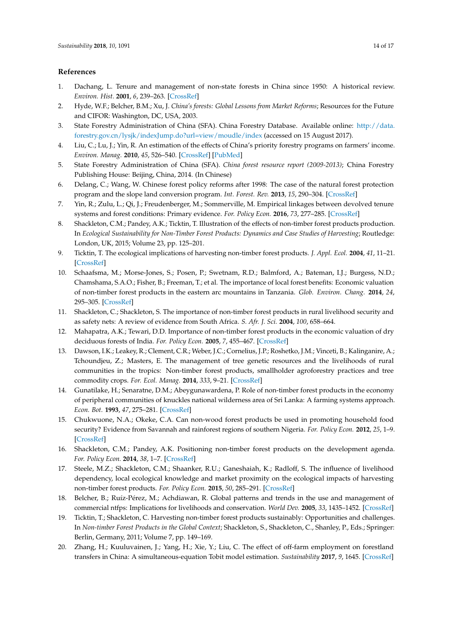## **References**

- 1. Dachang, L. Tenure and management of non-state forests in China since 1950: A historical review. *Environ. Hist.* **2001**, *6*, 239–263. [\[CrossRef\]](http://dx.doi.org/10.2307/3985086)
- 2. Hyde, W.F.; Belcher, B.M.; Xu, J. *China's forests: Global Lessons from Market Reforms*; Resources for the Future and CIFOR: Washington, DC, USA, 2003.
- 3. State Forestry Administration of China (SFA). China Forestry Database. Available online: [http://data.](http://data.forestry.gov.cn/lysjk/indexJump.do?url=view/moudle/index) [forestry.gov.cn/lysjk/indexJump.do?url=view/moudle/index](http://data.forestry.gov.cn/lysjk/indexJump.do?url=view/moudle/index) (accessed on 15 August 2017).
- 4. Liu, C.; Lu, J.; Yin, R. An estimation of the effects of China's priority forestry programs on farmers' income. *Environ. Manag.* **2010**, *45*, 526–540. [\[CrossRef\]](http://dx.doi.org/10.1007/s00267-010-9433-2) [\[PubMed\]](http://www.ncbi.nlm.nih.gov/pubmed/20140673)
- 5. State Forestry Administration of China (SFA). *China forest resource report (2009-2013)*; China Forestry Publishing House: Beijing, China, 2014. (In Chinese)
- 6. Delang, C.; Wang, W. Chinese forest policy reforms after 1998: The case of the natural forest protection program and the slope land conversion program. *Int. Forest. Rev.* **2013**, *15*, 290–304. [\[CrossRef\]](http://dx.doi.org/10.1505/146554813807700128)
- 7. Yin, R.; Zulu, L.; Qi, J.; Freudenberger, M.; Sommerville, M. Empirical linkages between devolved tenure systems and forest conditions: Primary evidence. *For. Policy Econ.* **2016**, *73*, 277–285. [\[CrossRef\]](http://dx.doi.org/10.1016/j.forpol.2016.06.033)
- 8. Shackleton, C.M.; Pandey, A.K.; Ticktin, T. Illustration of the effects of non-timber forest products production. In *Ecological Sustainability for Non-Timber Forest Products: Dynamics and Case Studies of Harvesting*; Routledge: London, UK, 2015; Volume 23, pp. 125–201.
- 9. Ticktin, T. The ecological implications of harvesting non-timber forest products. *J. Appl. Ecol.* **2004**, *41*, 11–21. [\[CrossRef\]](http://dx.doi.org/10.1111/j.1365-2664.2004.00859.x)
- 10. Schaafsma, M.; Morse-Jones, S.; Posen, P.; Swetnam, R.D.; Balmford, A.; Bateman, I.J.; Burgess, N.D.; Chamshama, S.A.O.; Fisher, B.; Freeman, T.; et al. The importance of local forest benefits: Economic valuation of non-timber forest products in the eastern arc mountains in Tanzania. *Glob. Environ. Chang.* **2014**, *24*, 295–305. [\[CrossRef\]](http://dx.doi.org/10.1016/j.gloenvcha.2013.08.018)
- 11. Shackleton, C.; Shackleton, S. The importance of non-timber forest products in rural livelihood security and as safety nets: A review of evidence from South Africa. *S. Afr. J. Sci.* **2004**, *100*, 658–664.
- 12. Mahapatra, A.K.; Tewari, D.D. Importance of non-timber forest products in the economic valuation of dry deciduous forests of India. *For. Policy Econ.* **2005**, *7*, 455–467. [\[CrossRef\]](http://dx.doi.org/10.1016/j.forpol.2004.02.002)
- 13. Dawson, I.K.; Leakey, R.; Clement, C.R.; Weber, J.C.; Cornelius, J.P.; Roshetko, J.M.; Vinceti, B.; Kalinganire, A.; Tchoundjeu, Z.; Masters, E. The management of tree genetic resources and the livelihoods of rural communities in the tropics: Non-timber forest products, smallholder agroforestry practices and tree commodity crops. *For. Ecol. Manag.* **2014**, *333*, 9–21. [\[CrossRef\]](http://dx.doi.org/10.1016/j.foreco.2014.01.021)
- 14. Gunatilake, H.; Senaratne, D.M.; Abeygunawardena, P. Role of non-timber forest products in the economy of peripheral communities of knuckles national wilderness area of Sri Lanka: A farming systems approach. *Econ. Bot.* **1993**, *47*, 275–281. [\[CrossRef\]](http://dx.doi.org/10.1007/BF02862294)
- 15. Chukwuone, N.A.; Okeke, C.A. Can non-wood forest products be used in promoting household food security? Evidence from Savannah and rainforest regions of southern Nigeria. *For. Policy Econ.* **2012**, *25*, 1–9. [\[CrossRef\]](http://dx.doi.org/10.1016/j.forpol.2012.09.001)
- 16. Shackleton, C.M.; Pandey, A.K. Positioning non-timber forest products on the development agenda. *For. Policy Econ.* **2014**, *38*, 1–7. [\[CrossRef\]](http://dx.doi.org/10.1016/j.forpol.2013.07.004)
- 17. Steele, M.Z.; Shackleton, C.M.; Shaanker, R.U.; Ganeshaiah, K.; Radloff, S. The influence of livelihood dependency, local ecological knowledge and market proximity on the ecological impacts of harvesting non-timber forest products. *For. Policy Econ.* **2015**, *50*, 285–291. [\[CrossRef\]](http://dx.doi.org/10.1016/j.forpol.2014.07.011)
- 18. Belcher, B.; Ruíz-Pérez, M.; Achdiawan, R. Global patterns and trends in the use and management of commercial ntfps: Implications for livelihoods and conservation. *World Dev.* **2005**, *33*, 1435–1452. [\[CrossRef\]](http://dx.doi.org/10.1016/j.worlddev.2004.10.007)
- 19. Ticktin, T.; Shackleton, C. Harvesting non-timber forest products sustainably: Opportunities and challenges. In *Non-timber Forest Products in the Global Context*; Shackleton, S., Shackleton, C., Shanley, P., Eds.; Springer: Berlin, Germany, 2011; Volume 7, pp. 149–169.
- 20. Zhang, H.; Kuuluvainen, J.; Yang, H.; Xie, Y.; Liu, C. The effect of off-farm employment on forestland transfers in China: A simultaneous-equation Tobit model estimation. *Sustainability* **2017**, *9*, 1645. [\[CrossRef\]](http://dx.doi.org/10.3390/su9091645)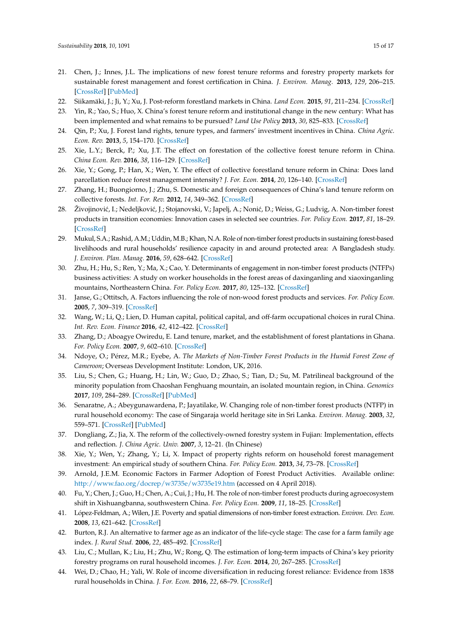- 21. Chen, J.; Innes, J.L. The implications of new forest tenure reforms and forestry property markets for sustainable forest management and forest certification in China. *J. Environ. Manag.* **2013**, *129*, 206–215. [\[CrossRef\]](http://dx.doi.org/10.1016/j.jenvman.2013.07.007) [\[PubMed\]](http://www.ncbi.nlm.nih.gov/pubmed/23948439)
- 22. Siikamäki, J.; Ji, Y.; Xu, J. Post-reform forestland markets in China. *Land Econ.* **2015**, *91*, 211–234. [\[CrossRef\]](http://dx.doi.org/10.3368/le.91.2.211)
- 23. Yin, R.; Yao, S.; Huo, X. China's forest tenure reform and institutional change in the new century: What has been implemented and what remains to be pursued? *Land Use Policy* **2013**, *30*, 825–833. [\[CrossRef\]](http://dx.doi.org/10.1016/j.landusepol.2012.06.010)
- 24. Qin, P.; Xu, J. Forest land rights, tenure types, and farmers' investment incentives in China. *China Agric. Econ. Rev.* **2013**, *5*, 154–170. [\[CrossRef\]](http://dx.doi.org/10.1108/17561371311294829)
- 25. Xie, L.Y.; Berck, P.; Xu, J.T. The effect on forestation of the collective forest tenure reform in China. *China Econ. Rev.* **2016**, *38*, 116–129. [\[CrossRef\]](http://dx.doi.org/10.1016/j.chieco.2015.12.005)
- 26. Xie, Y.; Gong, P.; Han, X.; Wen, Y. The effect of collective forestland tenure reform in China: Does land parcellation reduce forest management intensity? *J. For. Econ.* **2014**, *20*, 126–140. [\[CrossRef\]](http://dx.doi.org/10.1016/j.jfe.2014.03.001)
- 27. Zhang, H.; Buongiorno, J.; Zhu, S. Domestic and foreign consequences of China's land tenure reform on collective forests. *Int. For. Rev.* **2012**, *14*, 349–362. [\[CrossRef\]](http://dx.doi.org/10.1505/146554812802646648)
- 28. Živojinović, I.; Nedeljković, J.; Stojanovski, V.; Japelj, A.; Nonić, D.; Weiss, G.; Ludvig, A. Non-timber forest products in transition economies: Innovation cases in selected see countries. *For. Policy Econ.* **2017**, *81*, 18–29. [\[CrossRef\]](http://dx.doi.org/10.1016/j.forpol.2017.04.003)
- 29. Mukul, S.A.; Rashid, A.M.; Uddin, M.B.; Khan, N.A. Role of non-timber forest products in sustaining forest-based livelihoods and rural households' resilience capacity in and around protected area: A Bangladesh study. *J. Environ. Plan. Manag.* **2016**, *59*, 628–642. [\[CrossRef\]](http://dx.doi.org/10.1080/09640568.2015.1035774)
- 30. Zhu, H.; Hu, S.; Ren, Y.; Ma, X.; Cao, Y. Determinants of engagement in non-timber forest products (NTFPs) business activities: A study on worker households in the forest areas of daxinganling and xiaoxinganling mountains, Northeastern China. *For. Policy Econ.* **2017**, *80*, 125–132. [\[CrossRef\]](http://dx.doi.org/10.1016/j.forpol.2017.03.019)
- 31. Janse, G.; Ottitsch, A. Factors influencing the role of non-wood forest products and services. *For. Policy Econ.* **2005**, *7*, 309–319. [\[CrossRef\]](http://dx.doi.org/10.1016/S1389-9341(03)00068-6)
- 32. Wang, W.; Li, Q.; Lien, D. Human capital, political capital, and off-farm occupational choices in rural China. *Int. Rev. Econ. Finance* **2016**, *42*, 412–422. [\[CrossRef\]](http://dx.doi.org/10.1016/j.iref.2015.10.012)
- 33. Zhang, D.; Aboagye Owiredu, E. Land tenure, market, and the establishment of forest plantations in Ghana. *For. Policy Econ.* **2007**, *9*, 602–610. [\[CrossRef\]](http://dx.doi.org/10.1016/j.forpol.2005.12.001)
- 34. Ndoye, O.; Pérez, M.R.; Eyebe, A. *The Markets of Non-Timber Forest Products in the Humid Forest Zone of Cameroon*; Overseas Development Institute: London, UK, 2016.
- 35. Liu, S.; Chen, G.; Huang, H.; Lin, W.; Guo, D.; Zhao, S.; Tian, D.; Su, M. Patrilineal background of the minority population from Chaoshan Fenghuang mountain, an isolated mountain region, in China. *Genomics* **2017**, *109*, 284–289. [\[CrossRef\]](http://dx.doi.org/10.1016/j.ygeno.2017.05.002) [\[PubMed\]](http://www.ncbi.nlm.nih.gov/pubmed/28487173)
- 36. Senaratne, A.; Abeygunawardena, P.; Jayatilake, W. Changing role of non-timber forest products (NTFP) in rural household economy: The case of Singaraja world heritage site in Sri Lanka. *Environ. Manag.* **2003**, *32*, 559–571. [\[CrossRef\]](http://dx.doi.org/10.1007/s00267-003-2973-y) [\[PubMed\]](http://www.ncbi.nlm.nih.gov/pubmed/15015695)
- 37. Dongliang, Z.; Jia, X. The reform of the collectively-owned forestry system in Fujian: Implementation, effects and reflection. *J. China Agric. Univ.* **2007**, *3*, 12–21. (In Chinese)
- 38. Xie, Y.; Wen, Y.; Zhang, Y.; Li, X. Impact of property rights reform on household forest management investment: An empirical study of southern China. *For. Policy Econ.* **2013**, *34*, 73–78. [\[CrossRef\]](http://dx.doi.org/10.1016/j.forpol.2012.12.002)
- 39. Arnold, J.E.M. Economic Factors in Farmer Adoption of Forest Product Activities. Available online: <http://www.fao.org/docrep/w3735e/w3735e19.htm> (accessed on 4 April 2018).
- 40. Fu, Y.; Chen, J.; Guo, H.; Chen, A.; Cui, J.; Hu, H. The role of non-timber forest products during agroecosystem shift in Xishuangbanna, southwestern China. *For. Policy Econ.* **2009**, *11*, 18–25. [\[CrossRef\]](http://dx.doi.org/10.1016/j.forpol.2008.08.003)
- 41. López-Feldman, A.; Wilen, J.E. Poverty and spatial dimensions of non-timber forest extraction. *Environ. Dev. Econ.* **2008**, *13*, 621–642. [\[CrossRef\]](http://dx.doi.org/10.1017/S1355770X08004518)
- 42. Burton, R.J. An alternative to farmer age as an indicator of the life-cycle stage: The case for a farm family age index. *J. Rural Stud.* **2006**, *22*, 485–492. [\[CrossRef\]](http://dx.doi.org/10.1016/j.jrurstud.2006.02.005)
- 43. Liu, C.; Mullan, K.; Liu, H.; Zhu, W.; Rong, Q. The estimation of long-term impacts of China's key priority forestry programs on rural household incomes. *J. For. Econ.* **2014**, *20*, 267–285. [\[CrossRef\]](http://dx.doi.org/10.1016/j.jfe.2014.08.001)
- 44. Wei, D.; Chao, H.; Yali, W. Role of income diversification in reducing forest reliance: Evidence from 1838 rural households in China. *J. For. Econ.* **2016**, *22*, 68–79. [\[CrossRef\]](http://dx.doi.org/10.1016/j.jfe.2015.12.002)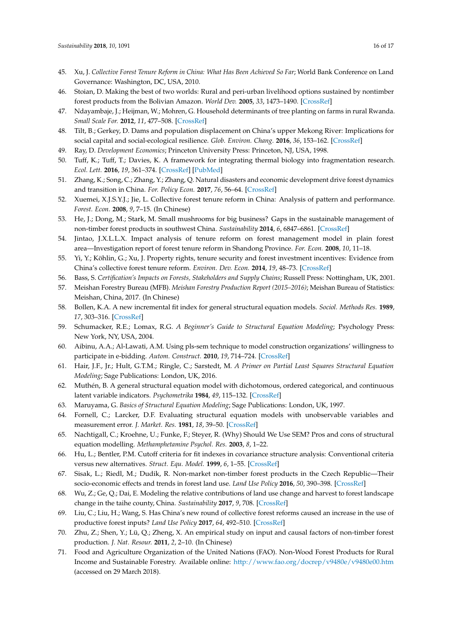- 45. Xu, J. *Collective Forest Tenure Reform in China: What Has Been Achieved So Far*; World Bank Conference on Land Governance: Washington, DC, USA, 2010.
- 46. Stoian, D. Making the best of two worlds: Rural and peri-urban livelihood options sustained by nontimber forest products from the Bolivian Amazon. *World Dev.* **2005**, *33*, 1473–1490. [\[CrossRef\]](http://dx.doi.org/10.1016/j.worlddev.2004.10.009)
- 47. Ndayambaje, J.; Heijman, W.; Mohren, G. Household determinants of tree planting on farms in rural Rwanda. *Small Scale For.* **2012**, *11*, 477–508. [\[CrossRef\]](http://dx.doi.org/10.1007/s11842-012-9196-0)
- 48. Tilt, B.; Gerkey, D. Dams and population displacement on China's upper Mekong River: Implications for social capital and social-ecological resilience. *Glob. Environ. Chang.* **2016**, *36*, 153–162. [\[CrossRef\]](http://dx.doi.org/10.1016/j.gloenvcha.2015.11.008)
- 49. Ray, D. *Development Economics*; Princeton University Press: Princeton, NJ, USA, 1998.
- 50. Tuff, K.; Tuff, T.; Davies, K. A framework for integrating thermal biology into fragmentation research. *Ecol. Lett.* **2016**, *19*, 361–374. [\[CrossRef\]](http://dx.doi.org/10.1111/ele.12579) [\[PubMed\]](http://www.ncbi.nlm.nih.gov/pubmed/26892491)
- 51. Zhang, K.; Song, C.; Zhang, Y.; Zhang, Q. Natural disasters and economic development drive forest dynamics and transition in China. *For. Policy Econ.* **2017**, *76*, 56–64. [\[CrossRef\]](http://dx.doi.org/10.1016/j.forpol.2015.08.010)
- 52. Xuemei, X.J.S.Y.J.; Jie, L. Collective forest tenure reform in China: Analysis of pattern and performance. *Forest. Econ.* **2008**, *9*, 7–15. (In Chinese)
- 53. He, J.; Dong, M.; Stark, M. Small mushrooms for big business? Gaps in the sustainable management of non-timber forest products in southwest China. *Sustainability* **2014**, *6*, 6847–6861. [\[CrossRef\]](http://dx.doi.org/10.3390/su6106847)
- 54. Jintao, J.X.L.L.X. Impact analysis of tenure reform on forest management model in plain forest area—Investigation report of forest tenure reform in Shandong Province. *For. Econ.* **2008**, *10*, 11–18.
- 55. Yi, Y.; Köhlin, G.; Xu, J. Property rights, tenure security and forest investment incentives: Evidence from China's collective forest tenure reform. *Environ. Dev. Econ.* **2014**, *19*, 48–73. [\[CrossRef\]](http://dx.doi.org/10.1017/S1355770X13000272)
- 56. Bass, S. *Certification's Impacts on Forests, Stakeholders and Supply Chains*; Russell Press: Nottingham, UK, 2001.
- 57. Meishan Forestry Bureau (MFB). *Meishan Forestry Production Report (2015–2016)*; Meishan Bureau of Statistics: Meishan, China, 2017. (In Chinese)
- 58. Bollen, K.A. A new incremental fit index for general structural equation models. *Sociol. Methods Res.* **1989**, *17*, 303–316. [\[CrossRef\]](http://dx.doi.org/10.1177/0049124189017003004)
- 59. Schumacker, R.E.; Lomax, R.G. *A Beginner's Guide to Structural Equation Modeling*; Psychology Press: New York, NY, USA, 2004.
- 60. Aibinu, A.A.; Al-Lawati, A.M. Using pls-sem technique to model construction organizations' willingness to participate in e-bidding. *Autom. Construct.* **2010**, *19*, 714–724. [\[CrossRef\]](http://dx.doi.org/10.1016/j.autcon.2010.02.016)
- 61. Hair, J.F., Jr.; Hult, G.T.M.; Ringle, C.; Sarstedt, M. *A Primer on Partial Least Squares Structural Equation Modeling*; Sage Publications: London, UK, 2016.
- 62. Muthén, B. A general structural equation model with dichotomous, ordered categorical, and continuous latent variable indicators. *Psychometrika* **1984**, *49*, 115–132. [\[CrossRef\]](http://dx.doi.org/10.1007/BF02294210)
- 63. Maruyama, G. *Basics of Structural Equation Modeling*; Sage Publications: London, UK, 1997.
- 64. Fornell, C.; Larcker, D.F. Evaluating structural equation models with unobservable variables and measurement error. *J. Market. Res.* **1981**, *18*, 39–50. [\[CrossRef\]](http://dx.doi.org/10.2307/3151312)
- 65. Nachtigall, C.; Kroehne, U.; Funke, F.; Steyer, R. (Why) Should We Use SEM? Pros and cons of structural equation modelling. *Methamphetamine Psychol. Res.* **2003**, *8*, 1–22.
- 66. Hu, L.; Bentler, P.M. Cutoff criteria for fit indexes in covariance structure analysis: Conventional criteria versus new alternatives. *Struct. Equ. Model.* **1999**, *6*, 1–55. [\[CrossRef\]](http://dx.doi.org/10.1080/10705519909540118)
- 67. Sisak, L.; Riedl, M.; Dudik, R. Non-market non-timber forest products in the Czech Republic—Their socio-economic effects and trends in forest land use. *Land Use Policy* **2016**, *50*, 390–398. [\[CrossRef\]](http://dx.doi.org/10.1016/j.landusepol.2015.10.006)
- 68. Wu, Z.; Ge, Q.; Dai, E. Modeling the relative contributions of land use change and harvest to forest landscape change in the taihe county, China. *Sustainability* **2017**, *9*, 708. [\[CrossRef\]](http://dx.doi.org/10.3390/su9050708)
- 69. Liu, C.; Liu, H.; Wang, S. Has China's new round of collective forest reforms caused an increase in the use of productive forest inputs? *Land Use Policy* **2017**, *64*, 492–510. [\[CrossRef\]](http://dx.doi.org/10.1016/j.landusepol.2017.03.011)
- 70. Zhu, Z.; Shen, Y.; Lü, Q.; Zheng, X. An empirical study on input and causal factors of non-timber forest production. *J. Nat. Resour.* **2011**, *2*, 2–10. (In Chinese)
- 71. Food and Agriculture Organization of the United Nations (FAO). Non-Wood Forest Products for Rural Income and Sustainable Forestry. Available online: <http://www.fao.org/docrep/v9480e/v9480e00.htm> (accessed on 29 March 2018).